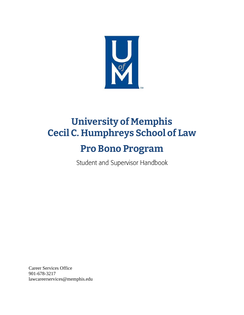

# **University of Memphis Cecil C. Humphreys School of Law**

# **Pro Bono Program**

Student and Supervisor Handbook

Career Services Office 901-678-3217 lawcareerservices@memphis.edu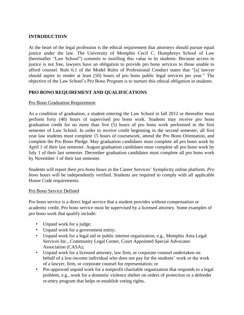## **INTRODUCTION**

At the heart of the legal profession is the ethical requirement that attorneys should pursue equal justice under the law. The University of Memphis Cecil C. Humphreys School of Law (hereinafter "Law School") commits to instilling this value in its students. Because access to justice is not free, lawyers have an obligation to provide pro bono services to those unable to afford counsel. Rule 6.1 of the Model Rules of Professional Conduct states that "[a] lawyer should aspire to render at least (50) hours of pro bono public legal services per year." The objective of the Law School's Pro Bono Program is to nurture this ethical obligation in students.

## **PRO BONO REQUIREMENT AND QUALIFICATIONS**

#### Pro Bono Graduation Requirement

As a condition of graduation, a student entering the Law School in fall 2012 or thereafter must perform forty (40) hours of supervised pro bono work. Students may receive pro bono graduation credit for no more than five (5) hours of pro bono work performed in the first semester of Law School. In order to receive credit beginning in the second semester, all first year law students must complete 15 hours of coursework, attend the Pro Bono Orientation, and complete the Pro Bono Pledge. May graduation candidates must complete all pro bono work by April 1 of their last semester. August graduation candidates must complete all pro bono work by July 1 of their last semester. December graduation candidates must complete all pro bono work by November 1 of their last semester.

Students will report their *pro bono* hours in the Career Services' Symplicity online platform. *Pro bono* hours will be independently verified. Students are required to comply with all applicable Honor Code requirements.

#### Pro Bono Service Defined

Pro bono service is a direct legal service that a student provides without compensation or academic credit. Pro bono service must be supervised by a licensed attorney. Some examples of pro bono work that qualify include:

- Unpaid work for a judge;
- Unpaid work for a government entity;
- Unpaid work for a legal aid or public interest organization, e.g., Memphis Area Legal Services Inc., Community Legal Center, Court Appointed Special Advocates Association (CASA);
- Unpaid work for a licensed attorney, law firm, or corporate counsel undertaken on behalf of a low-income individual who does not pay for the students' work or the work of a lawyer, firm, or corporate counsel for representation; or
- Pre-approved unpaid work for a nonprofit charitable organization that responds to a legal problem, e.g., work for a domestic violence shelter on orders of protection or a defender re-entry program that helps re-establish voting rights.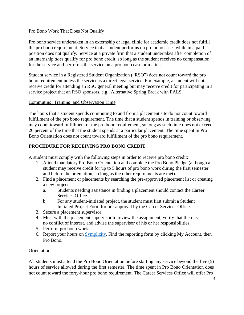## Pro Bono Work That Does Not Qualify

Pro bono service undertaken in an externship or legal clinic for academic credit does not fulfill the pro bono requirement. Service that a student performs on pro bono cases while in a paid position does not qualify. Service at a private firm that a student undertakes after completion of an internship *does* qualify for pro bono credit, so long as the student receives no compensation for the service and performs the service on a pro bono case or matter.

Student service in a Registered Student Organization ("RSO") does not count toward the pro bono requirement unless the service is a direct legal service. For example, a student will not receive credit for attending an RSO general meeting but may receive credit for participating in a service project that an RSO sponsors, e.g., Alternative Spring Break with PALS.

## Commuting, Training, and Observation Time

The hours that a student spends commuting to and from a placement site do not count toward fulfillment of the pro bono requirement. The time that a student spends in training or observing may count toward fulfillment of the pro bono requirement, so long as such time does not exceed 20 percent of the time that the student spends at a particular placement. The time spent in Pro Bono Orientation does not count toward fulfillment of the pro bono requirement.

# **PROCEDURE FOR RECEIVING PRO BONO CREDIT**

A student must comply with the following steps in order to receive pro bono credit:

- 1. Attend mandatory Pro Bono Orientation and complete the Pro Bono Pledge (although a student may receive credit for up to 5 hours of pro bono work during the first semester and before the orientation, so long as the other requirements are met).
- 2. Find a placement or placements by searching the pre-approved placement list or creating a new project.
	- a. Students needing assistance in finding a placement should contact the Career Services Office.
	- b. For any student-initiated project, the student must first submit a Student Initiated Project Form for pre-approval by the Career Services Office.
- 3. Secure a placement supervisor.
- 4. Meet with the placement supervisor to review the assignment, verify that there is no conflict of interest, and advise the supervisor of his or her responsibilities.
- 5. Perform pro bono work.
- 6. Report your hours on [Symplicity.](https://law-memphis-csm.symplicity.com/students/?signin_tab=0) Find the reporting form by clicking My Account, then Pro Bono.

# **Orientation**

All students must attend the Pro Bono Orientation before starting any service beyond the five (5) hours of service allowed during the first semester. The time spent in Pro Bono Orientation does not count toward the forty-hour pro bono requirement. The Career Services Office will offer Pro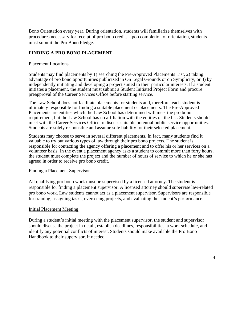Bono Orientation every year. During orientation, students will familiarize themselves with procedures necessary for receipt of pro bono credit. Upon completion of orientation, students must submit the Pro Bono Pledge.

# **FINDING A PRO BONO PLACEMENT**

## Placement Locations

Students may find placements by 1) searching the Pre-Approved Placements List, 2) taking advantage of pro bono opportunities publicized in On Legal Grounds or on Symplicity, or 3) by independently initiating and developing a project suited to their particular interests. If a student initiates a placement, the student must submit a Student Initiated Project Form and procure preapproval of the Career Services Office before starting service.

The Law School does not facilitate placements for students and, therefore, each student is ultimately responsible for finding a suitable placement or placements. The Pre-Approved Placements are entities which the Law School has determined will meet the pro bono requirement, but the Law School has no affiliation with the entities on the list. Students should meet with the Career Services Office to discuss suitable potential public service opportunities. Students are solely responsible and assume sole liability for their selected placement.

Students may choose to serve in several different placements. In fact, many students find it valuable to try out various types of law through their pro bono projects. The student is responsible for contacting the agency offering a placement and to offer his or her services on a volunteer basis. In the event a placement agency asks a student to commit more than forty hours, the student must complete the project and the number of hours of service to which he or she has agreed in order to receive pro bono credit.

#### Finding a Placement Supervisor

All qualifying pro bono work must be supervised by a licensed attorney. The student is responsible for finding a placement supervisor. A licensed attorney should supervise law-related pro bono work. Law students cannot act as a placement supervisor. Supervisors are responsible for training, assigning tasks, overseeing projects, and evaluating the student's performance.

#### Initial Placement Meeting

During a student's initial meeting with the placement supervisor, the student and supervisor should discuss the project in detail, establish deadlines, responsibilities, a work schedule, and identify any potential conflicts of interest. Students should make available the Pro Bono Handbook to their supervisor, if needed.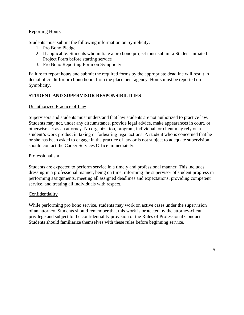## Reporting Hours

Students must submit the following information on Symplicity:

- 1. Pro Bono Pledge
- 2. If applicable: Students who initiate a pro bono project must submit a Student Initiated Project Form before starting service
- 3. Pro Bono Reporting Form on Symplicity

Failure to report hours and submit the required forms by the appropriate deadline will result in denial of credit for pro bono hours from the placement agency. Hours must be reported on Symplicity.

## **STUDENT AND SUPERVISOR RESPONSIBILITIES**

### Unauthorized Practice of Law

Supervisors and students must understand that law students are not authorized to practice law. Students may not, under any circumstance, provide legal advice, make appearances in court, or otherwise act as an attorney. No organization, program, individual, or client may rely on a student's work product in taking or forbearing legal actions. A student who is concerned that he or she has been asked to engage in the practice of law or is not subject to adequate supervision should contact the Career Services Office immediately.

#### Professionalism

Students are expected to perform service in a timely and professional manner. This includes dressing in a professional manner, being on time, informing the supervisor of student progress in performing assignments, meeting all assigned deadlines and expectations, providing competent service, and treating all individuals with respect.

#### Confidentiality

While performing pro bono service, students may work on active cases under the supervision of an attorney. Students should remember that this work is protected by the attorney-client privilege and subject to the confidentiality provision of the Rules of Professional Conduct. Students should familiarize themselves with these rules before beginning service.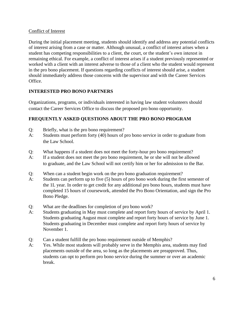# Conflict of Interest

During the initial placement meeting, students should identify and address any potential conflicts of interest arising from a case or matter. Although unusual, a conflict of interest arises when a student has competing responsibilities to a client, the court, or the student's own interest in remaining ethical. For example, a conflict of interest arises if a student previously represented or worked with a client with an interest adverse to those of a client who the student would represent in the pro bono placement. If questions regarding conflicts of interest should arise, a student should immediately address those concerns with the supervisor and with the Career Services Office.

# **INTERESTED PRO BONO PARTNERS**

Organizations, programs, or individuals interested in having law student volunteers should contact the Career Services Office to discuss the proposed pro bono opportunity.

# **FREQUENTLY ASKED QUESTIONS ABOUT THE PRO BONO PROGRAM**

- Q: Briefly, what is the pro bono requirement?
- A: Students must perform forty (40) hours of pro bono service in order to graduate from the Law School.
- Q: What happens if a student does not meet the forty-hour pro bono requirement?
- A: If a student does not meet the pro bono requirement, he or she will not be allowed to graduate, and the Law School will not certify him or her for admission to the Bar.
- Q: When can a student begin work on the pro bono graduation requirement?
- A: Students can perform up to five (5) hours of pro bono work during the first semester of the 1L year. In order to get credit for any additional pro bono hours, students must have completed 15 hours of coursework, attended the Pro Bono Orientation, and sign the Pro Bono Pledge.
- Q: What are the deadlines for completion of pro bono work?
- A: Students graduating in May must complete and report forty hours of service by April 1. Students graduating August must complete and report forty hours of service by June 1. Students graduating in December must complete and report forty hours of service by November 1.
- Q: Can a student fulfill the pro bono requirement outside of Memphis?
- A: Yes. While most students will probably serve in the Memphis area, students may find placements outside of the area, so long as the placements are preapproved. Thus, students can opt to perform pro bono service during the summer or over an academic break.